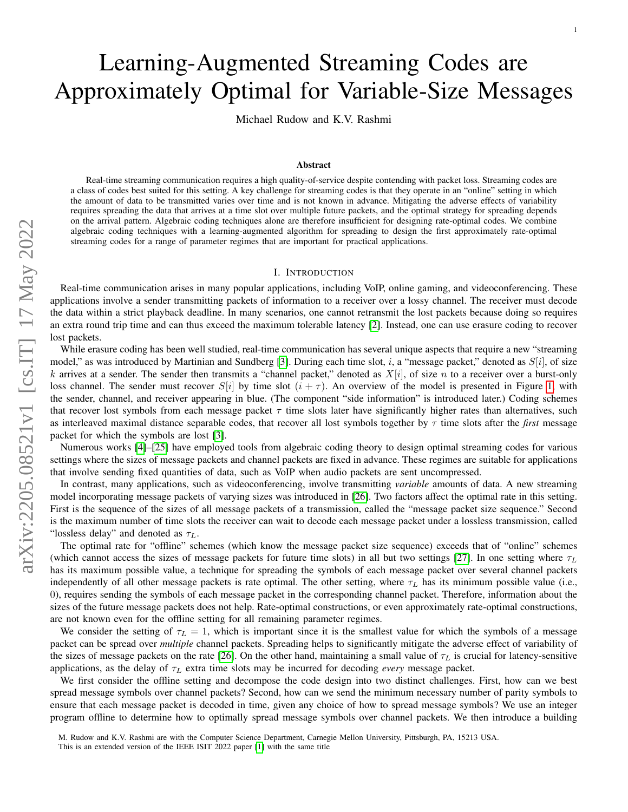# Learning-Augmented Streaming Codes are Approximately Optimal for Variable-Size Messages

Michael Rudow and K.V. Rashmi

## Abstract

Real-time streaming communication requires a high quality-of-service despite contending with packet loss. Streaming codes are a class of codes best suited for this setting. A key challenge for streaming codes is that they operate in an "online" setting in which the amount of data to be transmitted varies over time and is not known in advance. Mitigating the adverse effects of variability requires spreading the data that arrives at a time slot over multiple future packets, and the optimal strategy for spreading depends on the arrival pattern. Algebraic coding techniques alone are therefore insufficient for designing rate-optimal codes. We combine algebraic coding techniques with a learning-augmented algorithm for spreading to design the first approximately rate-optimal streaming codes for a range of parameter regimes that are important for practical applications.

## I. INTRODUCTION

<span id="page-0-0"></span>Real-time communication arises in many popular applications, including VoIP, online gaming, and videoconferencing. These applications involve a sender transmitting packets of information to a receiver over a lossy channel. The receiver must decode the data within a strict playback deadline. In many scenarios, one cannot retransmit the lost packets because doing so requires an extra round trip time and can thus exceed the maximum tolerable latency [\[2\]](#page-10-0). Instead, one can use erasure coding to recover lost packets.

While erasure coding has been well studied, real-time communication has several unique aspects that require a new "streaming model," as was introduced by Martinian and Sundberg [\[3\]](#page-10-1). During each time slot, i, a "message packet," denoted as  $S[i]$ , of size k arrives at a sender. The sender then transmits a "channel packet," denoted as  $X[i]$ , of size n to a receiver over a burst-only loss channel. The sender must recover  $S[i]$  by time slot  $(i + \tau)$ . An overview of the model is presented in Figure [1,](#page-1-0) with the sender, channel, and receiver appearing in blue. (The component "side information" is introduced later.) Coding schemes that recover lost symbols from each message packet  $\tau$  time slots later have significantly higher rates than alternatives, such as interleaved maximal distance separable codes, that recover all lost symbols together by τ time slots after the *first* message packet for which the symbols are lost [\[3\]](#page-10-1).

Numerous works [\[4\]](#page-10-2)–[\[25\]](#page-11-0) have employed tools from algebraic coding theory to design optimal streaming codes for various settings where the sizes of message packets and channel packets are fixed in advance. These regimes are suitable for applications that involve sending fixed quantities of data, such as VoIP when audio packets are sent uncompressed.

In contrast, many applications, such as videoconferencing, involve transmitting *variable* amounts of data. A new streaming model incorporating message packets of varying sizes was introduced in [\[26\]](#page-11-1). Two factors affect the optimal rate in this setting. First is the sequence of the sizes of all message packets of a transmission, called the "message packet size sequence." Second is the maximum number of time slots the receiver can wait to decode each message packet under a lossless transmission, called "lossless delay" and denoted as  $\tau_L$ .

The optimal rate for "offline" schemes (which know the message packet size sequence) exceeds that of "online" schemes (which cannot access the sizes of message packets for future time slots) in all but two settings [\[27\]](#page-11-2). In one setting where  $\tau_L$ has its maximum possible value, a technique for spreading the symbols of each message packet over several channel packets independently of all other message packets is rate optimal. The other setting, where  $\tau_L$  has its minimum possible value (i.e., 0), requires sending the symbols of each message packet in the corresponding channel packet. Therefore, information about the sizes of the future message packets does not help. Rate-optimal constructions, or even approximately rate-optimal constructions, are not known even for the offline setting for all remaining parameter regimes.

We consider the setting of  $\tau_L = 1$ , which is important since it is the smallest value for which the symbols of a message packet can be spread over *multiple* channel packets. Spreading helps to significantly mitigate the adverse effect of variability of the sizes of message packets on the rate [\[26\]](#page-11-1). On the other hand, maintaining a small value of  $\tau_L$  is crucial for latency-sensitive applications, as the delay of  $\tau_L$  extra time slots may be incurred for decoding *every* message packet.

We first consider the offline setting and decompose the code design into two distinct challenges. First, how can we best spread message symbols over channel packets? Second, how can we send the minimum necessary number of parity symbols to ensure that each message packet is decoded in time, given any choice of how to spread message symbols? We use an integer program offline to determine how to optimally spread message symbols over channel packets. We then introduce a building

M. Rudow and K.V. Rashmi are with the Computer Science Department, Carnegie Mellon University, Pittsburgh, PA, 15213 USA.

This is an extended version of the IEEE ISIT 2022 paper [\[1\]](#page-10-3) with the same title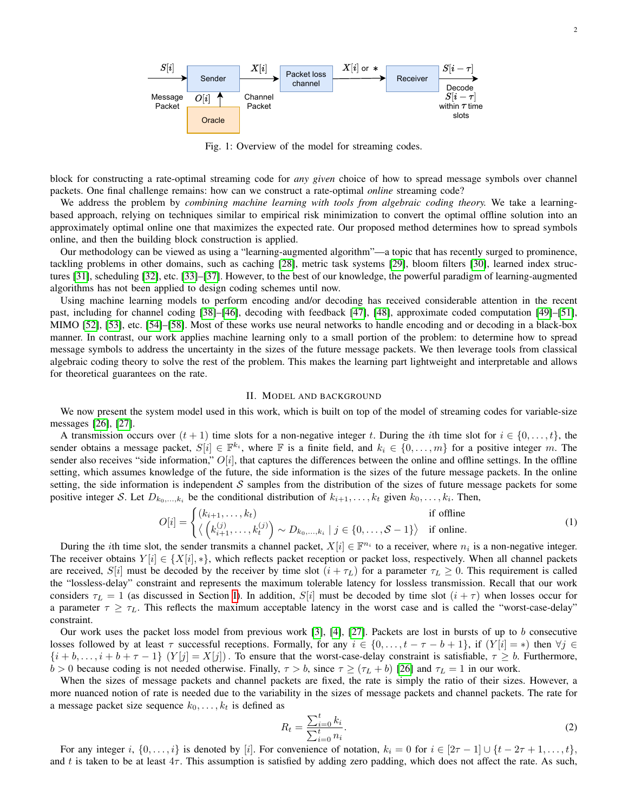<span id="page-1-0"></span>

Fig. 1: Overview of the model for streaming codes.

block for constructing a rate-optimal streaming code for *any given* choice of how to spread message symbols over channel packets. One final challenge remains: how can we construct a rate-optimal *online* streaming code?

We address the problem by *combining machine learning with tools from algebraic coding theory.* We take a learningbased approach, relying on techniques similar to empirical risk minimization to convert the optimal offline solution into an approximately optimal online one that maximizes the expected rate. Our proposed method determines how to spread symbols online, and then the building block construction is applied.

Our methodology can be viewed as using a "learning-augmented algorithm"—a topic that has recently surged to prominence, tackling problems in other domains, such as caching [\[28\]](#page-11-3), metric task systems [\[29\]](#page-11-4), bloom filters [\[30\]](#page-11-5), learned index structures [\[31\]](#page-11-6), scheduling [\[32\]](#page-11-7), etc. [\[33\]](#page-11-8)–[\[37\]](#page-11-9). However, to the best of our knowledge, the powerful paradigm of learning-augmented algorithms has not been applied to design coding schemes until now.

Using machine learning models to perform encoding and/or decoding has received considerable attention in the recent past, including for channel coding [\[38\]](#page-11-10)–[\[46\]](#page-11-11), decoding with feedback [\[47\]](#page-11-12), [\[48\]](#page-11-13), approximate coded computation [\[49\]](#page-11-14)–[\[51\]](#page-11-15), MIMO [\[52\]](#page-12-0), [\[53\]](#page-12-1), etc. [\[54\]](#page-12-2)–[\[58\]](#page-12-3). Most of these works use neural networks to handle encoding and or decoding in a black-box manner. In contrast, our work applies machine learning only to a small portion of the problem: to determine how to spread message symbols to address the uncertainty in the sizes of the future message packets. We then leverage tools from classical algebraic coding theory to solve the rest of the problem. This makes the learning part lightweight and interpretable and allows for theoretical guarantees on the rate.

## <span id="page-1-1"></span>II. MODEL AND BACKGROUND

We now present the system model used in this work, which is built on top of the model of streaming codes for variable-size messages [\[26\]](#page-11-1), [\[27\]](#page-11-2).

A transmission occurs over  $(t + 1)$  time slots for a non-negative integer t. During the ith time slot for  $i \in \{0, \ldots, t\}$ , the sender obtains a message packet,  $S[i] \in \mathbb{F}^{k_i}$ , where  $\mathbb F$  is a finite field, and  $k_i \in \{0, \ldots, m\}$  for a positive integer m. The sender also receives "side information,"  $O[i]$ , that captures the differences between the online and offline settings. In the offline setting, which assumes knowledge of the future, the side information is the sizes of the future message packets. In the online setting, the side information is independent  $S$  samples from the distribution of the sizes of future message packets for some positive integer S. Let  $D_{k_0,...,k_i}$  be the conditional distribution of  $k_{i+1},...,k_t$  given  $k_0,...,k_i$ . Then,

$$
O[i] = \begin{cases} (k_{i+1}, \dots, k_t) & \text{if offline} \\ \langle (k_{i+1}^{(j)}, \dots, k_t^{(j)}) \sim D_{k_0, \dots, k_i} \mid j \in \{0, \dots, S-1\} \rangle & \text{if online.} \end{cases}
$$
(1)

During the *i*th time slot, the sender transmits a channel packet,  $X[i] \in \mathbb{F}^{n_i}$  to a receiver, where  $n_i$  is a non-negative integer. The receiver obtains  $Y[i] \in \{X[i], *\}$ , which reflects packet reception or packet loss, respectively. When all channel packets are received, S[i] must be decoded by the receiver by time slot  $(i + \tau_L)$  for a parameter  $\tau_L \geq 0$ . This requirement is called the "lossless-delay" constraint and represents the maximum tolerable latency for lossless transmission. Recall that our work considers  $\tau_L = 1$  (as discussed in Section [I\)](#page-0-0). In addition,  $S[i]$  must be decoded by time slot  $(i + \tau)$  when losses occur for a parameter  $\tau \geq \tau_L$ . This reflects the maximum acceptable latency in the worst case and is called the "worst-case-delay" constraint.

Our work uses the packet loss model from previous work [\[3\]](#page-10-1), [\[4\]](#page-10-2), [\[27\]](#page-11-2). Packets are lost in bursts of up to b consecutive losses followed by at least  $\tau$  successful receptions. Formally, for any  $i \in \{0, \ldots, t - \tau - b + 1\}$ , if  $(Y[i] = *)$  then  $\forall j \in \mathbb{Z}$  $\{i + b, \ldots, i + b + \tau - 1\}$   $(Y[j] = X[j])$ . To ensure that the worst-case-delay constraint is satisfiable,  $\tau \geq b$ . Furthermore,  $b > 0$  because coding is not needed otherwise. Finally,  $\tau > b$ , since  $\tau \ge (\tau_L + b)$  [\[26\]](#page-11-1) and  $\tau_L = 1$  in our work.

When the sizes of message packets and channel packets are fixed, the rate is simply the ratio of their sizes. However, a more nuanced notion of rate is needed due to the variability in the sizes of message packets and channel packets. The rate for a message packet size sequence  $k_0, \ldots, k_t$  is defined as

$$
R_t = \frac{\sum_{i=0}^t k_i}{\sum_{i=0}^t n_i}.
$$
\n(2)

For any integer i,  $\{0,\ldots,i\}$  is denoted by [i]. For convenience of notation,  $k_i = 0$  for  $i \in [2\tau-1] \cup \{t-2\tau+1,\ldots,t\}$ , and t is taken to be at least  $4\tau$ . This assumption is satisfied by adding zero padding, which does not affect the rate. As such,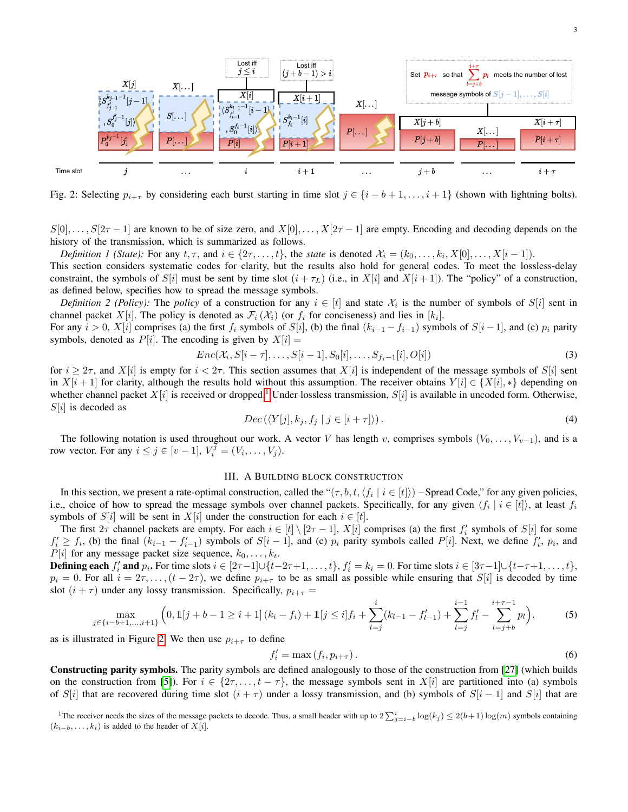<span id="page-2-1"></span>

Fig. 2: Selecting  $p_{i+\tau}$  by considering each burst starting in time slot  $j \in \{i-b+1,\ldots,i+1\}$  (shown with lightning bolts).

 $S[0], \ldots, S[2\tau-1]$  are known to be of size zero, and  $X[0], \ldots, X[2\tau-1]$  are empty. Encoding and decoding depends on the history of the transmission, which is summarized as follows.

*Definition 1 (State):* For any  $t, \tau$ , and  $i \in \{2\tau, \ldots, t\}$ , the *state* is denoted  $\mathcal{X}_i = (k_0, \ldots, k_i, X[0], \ldots, X[i-1])$ .

This section considers systematic codes for clarity, but the results also hold for general codes. To meet the lossless-delay constraint, the symbols of S[i] must be sent by time slot  $(i + \tau_L)$  (i.e., in X[i] and X[i + 1]). The "policy" of a construction, as defined below, specifies how to spread the message symbols.

*Definition 2 (Policy):* The *policy* of a construction for any  $i \in [t]$  and state  $\mathcal{X}_i$  is the number of symbols of  $S[i]$  sent in channel packet X[i]. The policy is denoted as  $\mathcal{F}_i(\mathcal{X}_i)$  (or  $f_i$  for conciseness) and lies in [k<sub>i</sub>].

For any  $i > 0$ ,  $X[i]$  comprises (a) the first  $f_i$  symbols of  $S[i]$ , (b) the final  $(k_{i-1} - f_{i-1})$  symbols of  $S[i-1]$ , and (c)  $p_i$  parity symbols, denoted as  $P[i]$ . The encoding is given by  $X[i] =$ 

$$
Enc(\mathcal{X}_i, S[i-\tau], \dots, S[i-1], S_0[i], \dots, S_{f_i-1}[i], O[i])
$$
\n<sup>(3)</sup>

for  $i \geq 2\tau$ , and  $X[i]$  is empty for  $i < 2\tau$ . This section assumes that  $X[i]$  is independent of the message symbols of  $S[i]$  sent in  $X[i+1]$  for clarity, although the results hold without this assumption. The receiver obtains  $Y[i] \in \{X[i], *\}$  depending on whether channel packet  $X[i]$  is received or dropped.<sup>[1](#page-2-0)</sup> Under lossless transmission,  $S[i]$  is available in uncoded form. Otherwise,  $S[i]$  is decoded as

<span id="page-2-3"></span>
$$
Dec(\langle Y[j], k_j, f_j \mid j \in [i + \tau] \rangle). \tag{4}
$$

The following notation is used throughout our work. A vector V has length v, comprises symbols  $(V_0, \ldots, V_{v-1})$ , and is a row vector. For any  $i \leq j \in [v-1], V_i^{\overline{j}} = (V_i, \ldots, V_j)$ .

# III. A BUILDING BLOCK CONSTRUCTION

In this section, we present a rate-optimal construction, called the " $(\tau, b, t, \langle f_i \mid i \in [t] \rangle)$  –Spread Code," for any given policies, i.e., choice of how to spread the message symbols over channel packets. Specifically, for any given  $\langle f_i | i \in [t] \rangle$ , at least  $f_i$ symbols of S[i] will be sent in X[i] under the construction for each  $i \in [t]$ .

The first  $2\tau$  channel packets are empty. For each  $i \in [t] \setminus [2\tau - 1]$ ,  $X[i]$  comprises (a) the first  $f'_i$  symbols of  $S[i]$  for some  $f'_i \geq f_i$ , (b) the final  $(k_{i-1} - f'_{i-1})$  symbols of  $S[i-1]$ , and (c)  $p_i$  parity symbols called  $P[i]$ . Next, we define  $f'_i$ ,  $p_i$ , and  $P[i]$  for any message packet size sequence,  $k_0, \ldots, k_t$ .

**Defining each**  $f'_i$  and  $p_i$ . For time slots  $i \in [2\tau-1] \cup \{t-2\tau+1,\ldots,t\}$ ,  $f'_i = k_i = 0$ . For time slots  $i \in [3\tau-1] \cup \{t-\tau+1,\ldots,t\}$ ,  $p_i = 0$ . For all  $i = 2\tau, \ldots, (t - 2\tau)$ , we define  $p_{i+\tau}$  to be as small as possible while ensuring that  $S[i]$  is decoded by time slot  $(i + \tau)$  under any lossy transmission. Specifically,  $p_{i+\tau} =$ 

$$
\max_{j \in \{i-b+1,\dots,i+1\}} \left(0, \mathbb{1}[j+b-1 \ge i+1] \left(k_i - f_i\right) + \mathbb{1}[j \le i] f_i + \sum_{l=j}^i (k_{l-1} - f'_{l-1}) + \sum_{l=j}^{i-1} f'_l - \sum_{l=j+b}^{i+\tau-1} p_l\right),\tag{5}
$$

as is illustrated in Figure [2.](#page-2-1) We then use  $p_{i+\tau}$  to define

<span id="page-2-4"></span><span id="page-2-2"></span>
$$
f_i' = \max(f_i, p_{i+\tau}).\tag{6}
$$

Constructing parity symbols. The parity symbols are defined analogously to those of the construction from [\[27\]](#page-11-2) (which builds on the construction from [\[5\]](#page-10-4)). For  $i \in \{2\tau, \ldots, t - \tau\}$ , the message symbols sent in  $X[i]$  are partitioned into (a) symbols of S[i] that are recovered during time slot  $(i + \tau)$  under a lossy transmission, and (b) symbols of S[i – 1] and S[i] that are

<span id="page-2-0"></span><sup>&</sup>lt;sup>1</sup>The receiver needs the sizes of the message packets to decode. Thus, a small header with up to  $2\sum_{j=i-b}^{i} \log(k_j) \le 2(b+1) \log(m)$  symbols containing  $(k_{i-b}, \ldots, k_i)$  is added to the header of  $X[i]$ .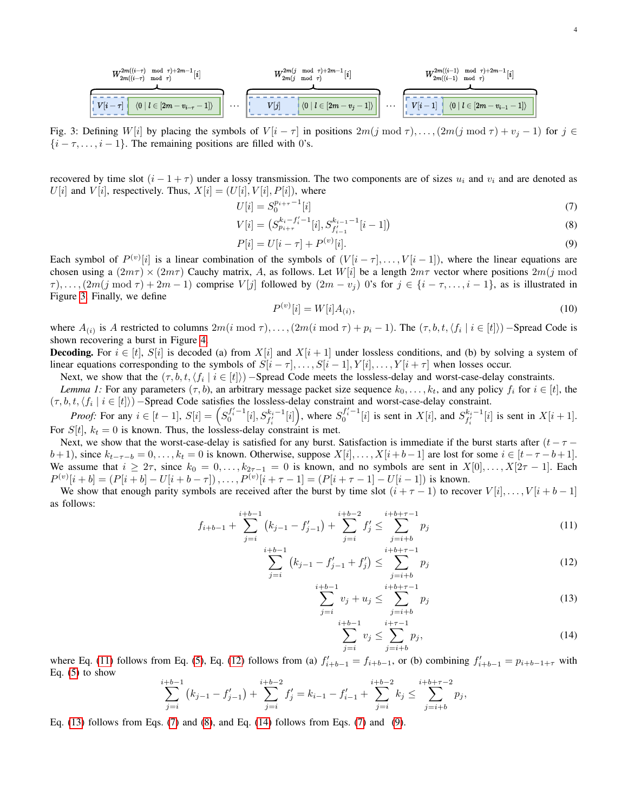<span id="page-3-0"></span>
$$
\frac{W_{2m((i-\tau)\mod\tau)}^{2m((i-\tau)\mod\tau)+2m-1}[i]}{W_{2m(j\mod\tau)}^{2m(j\mod\tau)+2m-1}[i]} \dots \underbrace{W_{2m(j\mod\tau)}^{2m(j\mod\tau)+2m-1}[i]}_{\begin{subarray}{c}\scriptstyle l=1\quad\text{odd}\quad r\end{subarray}}\dots \underbrace{W_{2m((i-1)\mod\tau)}^{2m((i-1)\mod\tau)+2m-1}[i]}_{\begin{subarray}{c}\scriptstyle l=1\quad\text{odd}\quad r\end{subarray}}
$$

Fig. 3: Defining W[i] by placing the symbols of  $V[i - \tau]$  in positions  $2m(j \mod \tau), \ldots, (2m(j \mod \tau) + v_j - 1)$  for  $j \in$  $\{i - \tau, \ldots, i - 1\}$ . The remaining positions are filled with 0's.

recovered by time slot  $(i - 1 + \tau)$  under a lossy transmission. The two components are of sizes  $u_i$  and  $v_i$  and are denoted as  $U[i]$  and  $V[i]$ , respectively. Thus,  $X[i] = (U[i], V[i], P[i])$ , where

$$
U[i] = S_0^{p_{i+\tau}-1}[i] \tag{7}
$$

$$
V[i] = (S_{p_{i+\tau}}^{k_i - f'_i - 1}[i], S_{f'_{i-1}}^{k_{i-1}-1}[i-1])
$$
\n(8)

<span id="page-3-8"></span>
$$
P[i] = U[i - \tau] + P^{(v)}[i].
$$
\n(9)

Each symbol of  $P^{(v)}[i]$  is a linear combination of the symbols of  $(V[i - \tau], \ldots, V[i-1])$ , where the linear equations are chosen using a  $(2m\tau) \times (2m\tau)$  Cauchy matrix, A, as follows. Let  $W[i]$  be a length  $2m\tau$  vector where positions  $2m(j \mod 2m)$  $\tau$ ,..., $(2m(j \mod \tau) + 2m - 1)$  comprise  $V[j]$  followed by  $(2m - v_j)$  0's for  $j \in \{i - \tau, \ldots, i - 1\}$ , as is illustrated in Figure [3.](#page-3-0) Finally, we define

<span id="page-3-7"></span><span id="page-3-5"></span><span id="page-3-4"></span>
$$
P^{(v)}[i] = W[i]A_{(i)},\tag{10}
$$

where  $A_{(i)}$  is A restricted to columns  $2m(i \mod 7), \ldots, (2m(i \mod 7) + p_i - 1)$ . The  $(\tau, b, t, \langle f_i | i \in [t] \rangle)$  – Spread Code is shown recovering a burst in Figure [4.](#page-4-0)

**Decoding.** For  $i \in [t]$ ,  $S[i]$  is decoded (a) from  $X[i]$  and  $X[i + 1]$  under lossless conditions, and (b) by solving a system of linear equations corresponding to the symbols of  $S[i - \tau], \ldots, S[i - 1], Y[i], \ldots, Y[i + \tau]$  when losses occur.

Next, we show that the  $(\tau, b, t, \langle f_i \mid i \in [t] \rangle)$  – Spread Code meets the lossless-delay and worst-case-delay constraints.

*Lemma 1:* For any parameters  $(\tau, b)$ , an arbitrary message packet size sequence  $k_0, \ldots, k_t$ , and any policy  $f_i$  for  $i \in [t]$ , the  $(\tau, b, t, \langle f_i | i \in [t] \rangle)$  – Spread Code satisfies the lossless-delay constraint and worst-case-delay constraint.

*Proof:* For any  $i \in [t-1]$ ,  $S[i] = (S_0^{f'_i-1}[i], S_{f'_i}^{k_i-1}[i])$ , where  $S_0^{f'_i-1}[i]$  is sent in  $X[i]$ , and  $S_{f'_i}^{k_i-1}[i]$  is sent in  $X[i+1]$ . For  $S[t]$ ,  $k_t = 0$  is known. Thus, the lossless-delay constraint is met.

Next, we show that the worst-case-delay is satisfied for any burst. Satisfaction is immediate if the burst starts after  $(t - \tau$  $b+1$ ), since  $k_{t-\tau-b} = 0, \ldots, k_t = 0$  is known. Otherwise, suppose  $X[i], \ldots, X[i+b-1]$  are lost for some  $i \in [t-\tau-b+1]$ . We assume that  $i \geq 2\tau$ , since  $k_0 = 0, \ldots, k_{2\tau-1} = 0$  is known, and no symbols are sent in  $X[0], \ldots, X[2\tau-1]$ . Each  $P^{(v)}[i + b] = (P[i + b] - U[i + b - \tau]), \ldots, P^{(v)}[i + \tau - 1] = (P[i + \tau - 1] - U[i - 1])$  is known.

We show that enough parity symbols are received after the burst by time slot  $(i + \tau - 1)$  to recover  $V[i], \ldots, V[i + b - 1]$ as follows:

$$
f_{i+b-1} + \sum_{j=i}^{i+b-1} (k_{j-1} - f'_{j-1}) + \sum_{j=i}^{i+b-2} f'_{j} \le \sum_{j=i+b}^{i+b+\tau-1} p_{j}
$$
(11)

$$
\sum_{j=i}^{i+b-1} (k_{j-1} - f'_{j-1} + f'_j) \le \sum_{j=i+b}^{i+b+\tau-1} p_j
$$
\n(12)

$$
\sum_{j=i}^{i+b-1} v_j + u_j \le \sum_{j=i+b}^{i+b+\tau-1} p_j \tag{13}
$$

<span id="page-3-6"></span><span id="page-3-3"></span><span id="page-3-2"></span><span id="page-3-1"></span>
$$
\sum_{j=i}^{i+b-1} v_j \le \sum_{j=i+b}^{i+\tau-1} p_j,\tag{14}
$$

where Eq. [\(11\)](#page-3-1) follows from Eq. [\(5\)](#page-2-2), Eq. [\(12\)](#page-3-2) follows from (a)  $f'_{i+b-1} = f_{i+b-1}$ , or (b) combining  $f'_{i+b-1} = p_{i+b-1+\tau}$  with Eq.  $(5)$  to show i.

$$
\sum_{j=i}^{i+b-1} (k_{j-1} - f'_{j-1}) + \sum_{j=i}^{i+b-2} f'_{j} = k_{i-1} - f'_{i-1} + \sum_{j=i}^{i+b-2} k_{j} \le \sum_{j=i+b}^{i+b+\tau-2} p_{j},
$$

Eq. [\(13\)](#page-3-3) follows from Eqs. [\(7\)](#page-3-4) and [\(8\)](#page-3-5), and Eq. [\(14\)](#page-3-6) follows from Eqs. [\(7\)](#page-3-4) and [\(9\)](#page-3-7).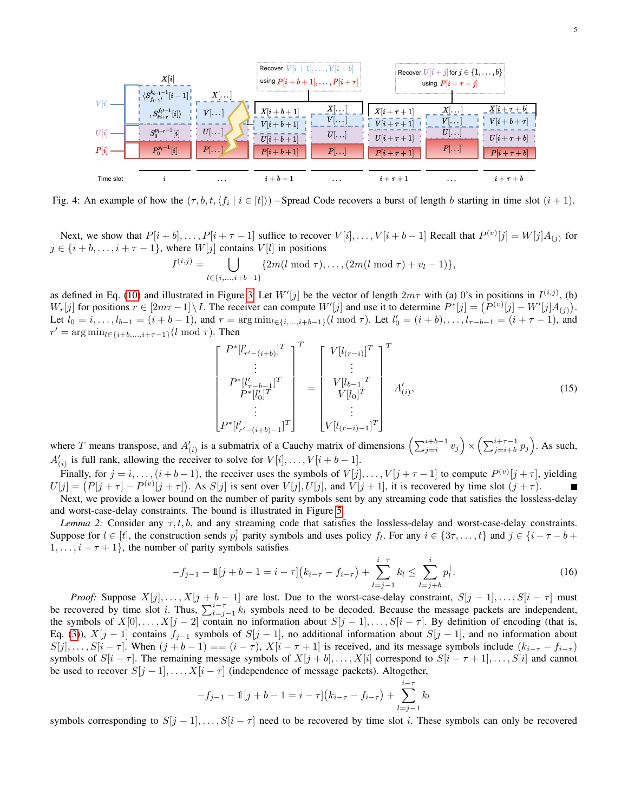<span id="page-4-0"></span>

Fig. 4: An example of how the  $(\tau, b, t, \langle f_i \mid i \in [t])$  – Spread Code recovers a burst of length b starting in time slot  $(i + 1)$ .

Next, we show that  $P[i + b], \ldots, P[i + \tau - 1]$  suffice to recover  $V[i], \ldots, V[i + b - 1]$  Recall that  $P^{(v)}[j] = W[j]A_{(j)}$  for  $j \in \{i + b, \ldots, i + \tau - 1\}$ , where  $W[j]$  contains  $V[l]$  in positions

$$
I^{(i,j)} = \bigcup_{l \in \{i,\ldots,i+b-1\}} \{2m(l \bmod \tau),\ldots,(2m(l \bmod \tau) + v_l - 1)\},\
$$

as defined in Eq. [\(10\)](#page-3-8) and illustrated in Figure [3.](#page-3-0) Let  $W'[j]$  be the vector of length  $2m\tau$  with (a) 0's in positions in  $I^{(i,j)}$ , (b)  $W_r[j]$  for positions  $r \in [2m\tau - 1] \setminus I$ . The receiver can compute  $W'[j]$  and use it to determine  $P^*[j] = (P^{(v)}[j] - W'[j]A_{(j)})$ . Let  $l_0 = i, \ldots, l_{b-1} = (i + b - 1)$ , and  $r = \arg \min_{l \in \{i, \ldots, i+b-1\}} (l \mod \tau)$ . Let  $l'_0 = (i + b), \ldots, l_{\tau-b-1} = (i + \tau - 1)$ , and  $r' = \arg \min_{l \in \{i+b,\dots,i+\tau-1\}} (l \mod \tau)$ . Then

$$
\begin{bmatrix}\nP^*[l'_{r'-(i+b)}]^T \\
\vdots \\
P^*[l'_{r-b-1}]^T \\
P^*[l'_{0}]^T \\
\vdots \\
P^*[l'_{r'-(i+b)-1}]^T\n\end{bmatrix} = \begin{bmatrix}\nV[l_{(r-i)}]^T \\
\vdots \\
V[l_{b-1}]^T \\
V[l_{0}]^T \\
\vdots \\
V[l_{(r-i)-1}]^T\n\end{bmatrix} A'_{(i)},
$$
\n(15)

where T means transpose, and  $A'_{(i)}$  is a submatrix of a Cauchy matrix of dimensions  $\left(\sum_{j=i}^{i+b-1} v_j\right) \times \left(\sum_{j=i+b}^{i+\tau-1} p_j\right)$ . As such,  $A'_{(i)}$  is full rank, allowing the receiver to solve for  $V[i], \ldots, V[i+b-1]$ .

Finally, for  $j = i, \ldots, (i + b - 1)$ , the receiver uses the symbols of  $V[j], \ldots, V[j + \tau - 1]$  to compute  $P^{(v)}[j + \tau]$ , yielding  $U[j] = (P[j + \tau] - P^{(v)}[j + \tau])$ . As  $S[j]$  is sent over  $V[j], U[j]$ , and  $V[j + 1]$ , it is recovered by time slot  $(j + \tau)$ . Next, we provide a lower bound on the number of parity symbols sent by any streaming code that satisfies the lossless-delay

and worst-case-delay constraints. The bound is illustrated in Figure [5](#page-5-0)

<span id="page-4-1"></span>*Lemma 2:* Consider any  $\tau, t, b$ , and any streaming code that satisfies the lossless-delay and worst-case-delay constraints. Suppose for  $l \in [t]$ , the construction sends  $p_l^{\dagger}$  parity symbols and uses policy  $f_l$ . For any  $i \in \{3\tau, \dots, t\}$  and  $j \in \{i - \tau - b + \tau, j\}$  $1, \ldots, i - \tau + 1$ , the number of parity symbols satisfies

$$
-f_{j-1} - \mathbb{1}[j+b-1 = i-\tau](k_{i-\tau} - f_{i-\tau}) + \sum_{l=j-1}^{i-\tau} k_l \le \sum_{l=j+b}^{i} p_l^{\dagger}.
$$
 (16)

*Proof:* Suppose  $X[j], \ldots, X[j + b - 1]$  are lost. Due to the worst-case-delay constraint,  $S[j - 1], \ldots, S[i - \tau]$  must be recovered by time slot *i*. Thus,  $\sum_{l=j-1}^{i-\tau} k_l$  symbols need to be decoded. Because the message packets are independent, the symbols of  $X[0], \ldots, X[j-2]$  contain no information about  $S[j-1], \ldots, S[i-\tau]$ . By definition of encoding (that is, Eq. [\(3\)](#page-2-3)),  $X[j-1]$  contains  $f_{j-1}$  symbols of  $S[j-1]$ , no additional information about  $S[j-1]$ , and no information about  $S[j], \ldots, S[i-\tau]$ . When  $(j+b-1) == (i-\tau)$ ,  $X[i-\tau+1]$  is received, and its message symbols include  $(k_{i-\tau}-f_{i-\tau})$ symbols of  $S[i - \tau]$ . The remaining message symbols of  $X[j + b], \ldots, X[i]$  correspond to  $S[i - \tau + 1], \ldots, S[i]$  and cannot be used to recover  $S[j-1], \ldots, X[i-\tau]$  (independence of message packets). Altogether,

$$
-f_{j-1} - \mathbb{1}[j+b-1 = i - \tau](k_{i-\tau} - f_{i-\tau}) + \sum_{l=j-1}^{i-\tau} k_l
$$

symbols corresponding to  $S[j-1], \ldots, S[i-\tau]$  need to be recovered by time slot i. These symbols can only be recovered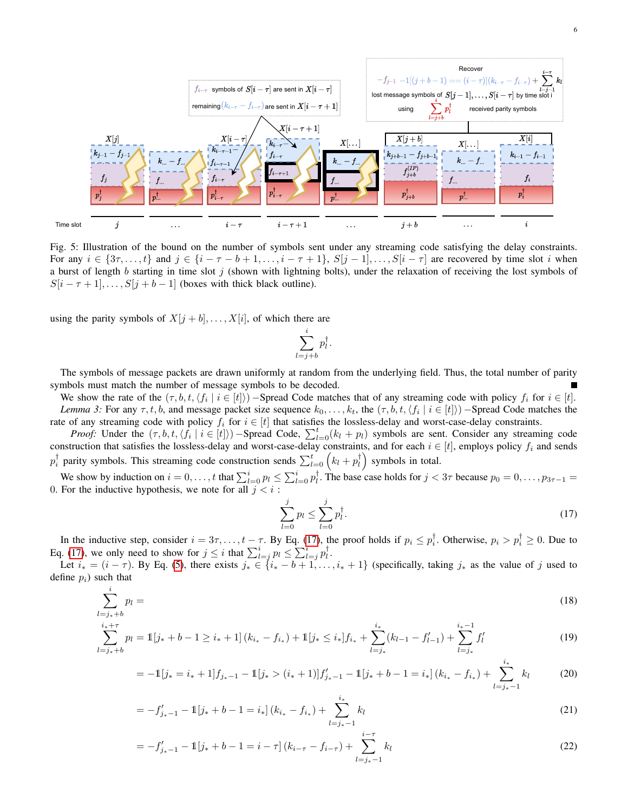<span id="page-5-0"></span>

Fig. 5: Illustration of the bound on the number of symbols sent under any streaming code satisfying the delay constraints. For any  $i \in \{3\tau, \ldots, t\}$  and  $j \in \{i - \tau - b + 1, \ldots, i - \tau + 1\}$ ,  $S[j - 1], \ldots, S[i - \tau]$  are recovered by time slot i when a burst of length b starting in time slot j (shown with lightning bolts), under the relaxation of receiving the lost symbols of  $S[i - \tau + 1], \ldots, S[j + b - 1]$  (boxes with thick black outline).

using the parity symbols of  $X[j + b], \ldots, X[i]$ , of which there are

<span id="page-5-7"></span>
$$
\sum_{l=j+b}^{i} p_l^{\dagger}.
$$

The symbols of message packets are drawn uniformly at random from the underlying field. Thus, the total number of parity symbols must match the number of message symbols to be decoded.

We show the rate of the  $(\tau, b, t, \langle f_i \mid i \in [t])$  – Spread Code matches that of any streaming code with policy  $f_i$  for  $i \in [t]$ . *Lemma 3:* For any  $\tau, t, b$ , and message packet size sequence  $k_0, \ldots, k_t$ , the  $(\tau, b, t, \langle f_i | i \in [t] \rangle)$  – Spread Code matches the rate of any streaming code with policy  $f_i$  for  $i \in [t]$  that satisfies the lossless-delay and worst-case-delay constraints.

*Proof:* Under the  $(\tau, b, t, \langle f_i | i \in [t] \rangle)$  –Spread Code,  $\sum_{l=0}^{t} (k_l + p_l)$  symbols are sent. Consider any streaming code construction that satisfies the lossless-delay and worst-case-delay constraints, and for each  $i \in [t]$ , employs policy  $f_i$  and sends  $p_i^{\dagger}$  parity symbols. This streaming code construction sends  $\sum_{l=0}^{t} (k_l + p_l^{\dagger})$  symbols in total.

We show by induction on  $i = 0, \ldots, t$  that  $\sum_{l=0}^{i} p_l \leq \sum_{l=0}^{i} p_l^{\dagger}$ . The base case holds for  $j < 3\tau$  because  $p_0 = 0, \ldots, p_{3\tau-1} =$ 0. For the inductive hypothesis, we note for all  $j < i$ :

<span id="page-5-6"></span><span id="page-5-5"></span><span id="page-5-4"></span><span id="page-5-3"></span><span id="page-5-2"></span><span id="page-5-1"></span>
$$
\sum_{l=0}^{j} p_l \le \sum_{l=0}^{j} p_l^{\dagger}.
$$
\n(17)

In the inductive step, consider  $i = 3\tau, \ldots, t - \tau$ . By Eq. [\(17\)](#page-5-1), the proof holds if  $p_i \le p_i^{\dagger}$ . Otherwise,  $p_i > p_i^{\dagger} \ge 0$ . Due to Eq. [\(17\)](#page-5-1), we only need to show for  $j \leq i$  that  $\sum_{l=j}^{i} p_l \leq \sum_{l=j}^{i} p_l^{\dagger}$ .

Let  $i_* = (i - \tau)$ . By Eq. [\(5\)](#page-2-2), there exists  $j_* \in \{i_* - b + 1, \ldots, i_* + 1\}$  (specifically, taking  $j_*$  as the value of j used to define  $p_i$ ) such that

$$
\sum_{l=j_*+b}^{i} p_l = \tag{18}
$$

$$
\sum_{l=j_{*}+b}^{i_{*}+\tau} p_{l} = \mathbb{1}[j_{*}+b-1 \geq i_{*}+1] \left(k_{i_{*}}-f_{i_{*}}\right)+\mathbb{1}[j_{*} \leq i_{*}]f_{i_{*}} + \sum_{l=j_{*}}^{i_{*}} (k_{l-1}-f'_{l-1})+\sum_{l=j_{*}}^{i_{*}-1} f'_{l}
$$
(19)

$$
= -1[j_* = i_* + 1]f_{j_*-1} - 1[j_* > (i_* + 1)]f'_{j_*-1} - 1[j_* + b - 1 = i_*](k_{i_*} - f_{i_*}) + \sum_{l=j_*-1}^{i_*} k_l
$$
(20)

$$
= -f'_{j_{*}-1} - \mathbb{1}[j_{*} + b - 1 = i_{*}](k_{i_{*}} - f_{i_{*}}) + \sum_{l=j_{*}-1}^{i_{*}} k_{l}
$$
\n(21)

$$
= -f'_{j_{*}-1} - 1[j_{*} + b - 1 = i - \tau] (k_{i-\tau} - f_{i-\tau}) + \sum_{l=j_{*}-1}^{i-\tau} k_{l}
$$
\n(22)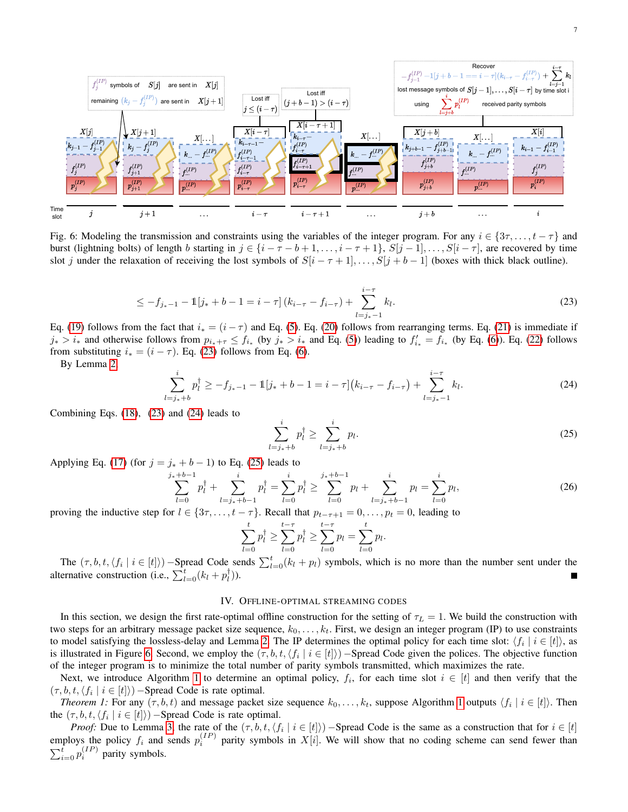<span id="page-6-3"></span>

Fig. 6: Modeling the transmission and constraints using the variables of the integer program. For any  $i \in \{3\tau, \ldots, t - \tau\}$  and burst (lightning bolts) of length b starting in  $j \in \{i - \tau - b + 1, \ldots, i - \tau + 1\}$ ,  $S[j - 1], \ldots, S[i - \tau]$ , are recovered by time slot j under the relaxation of receiving the lost symbols of  $S[i - \tau + 1], \ldots, S[j + b - 1]$  (boxes with thick black outline).

$$
\leq -f_{j_{*}-1} - 1[j_{*} + b - 1 = i - \tau](k_{i-\tau} - f_{i-\tau}) + \sum_{l=j_{*}-1}^{i-\tau} k_{l}.
$$
\n(23)

Eq. [\(19\)](#page-5-2) follows from the fact that  $i_* = (i - \tau)$  and Eq. [\(5\)](#page-2-2). Eq. [\(20\)](#page-5-3) follows from rearranging terms. Eq. [\(21\)](#page-5-4) is immediate if  $j_* > i_*$  and otherwise follows from  $p_{i_*+\tau} \leq f_{i_*}$  (by  $j_* > i_*$  and Eq. [\(5\)](#page-2-2)) leading to  $f'_{i_*} = f_{i_*}$  (by Eq. [\(6\)](#page-2-4)). Eq. [\(22\)](#page-5-5) follows from substituting  $i_* = (i - \tau)$ . Eq. [\(23\)](#page-6-0) follows from Eq. [\(6\)](#page-2-4).

By Lemma [2,](#page-4-1)

<span id="page-6-1"></span>
$$
\sum_{l=j_{*}+b}^{i} p_{l}^{\dagger} \geq -f_{j_{*}-1} - \mathbb{1}[j_{*}+b-1=i-\tau](k_{i-\tau}-f_{i-\tau}) + \sum_{l=j_{*}-1}^{i-\tau} k_{l}.
$$
 (24)

Combining Eqs. [\(18\)](#page-5-6), [\(23\)](#page-6-0) and [\(24\)](#page-6-1) leads to

<span id="page-6-2"></span><span id="page-6-0"></span>
$$
\sum_{l=j_{*}+b}^{i} p_{l}^{\dagger} \ge \sum_{l=j_{*}+b}^{i} p_{l}.
$$
\n(25)

Applying Eq. [\(17\)](#page-5-1) (for  $j = j_* + b - 1$ ) to Eq. [\(25\)](#page-6-2) leads to

$$
\sum_{l=0}^{j_*+b-1} p_l^{\dagger} + \sum_{l=j_*+b-1}^{i} p_l^{\dagger} = \sum_{l=0}^{i} p_l^{\dagger} \ge \sum_{l=0}^{j_*+b-1} p_l + \sum_{l=j_*+b-1}^{i} p_l = \sum_{l=0}^{i} p_l,
$$
\n(26)

proving the inductive step for  $l \in \{3\tau, \ldots, t - \tau\}$ . Recall that  $p_{t-\tau+1} = 0, \ldots, p_t = 0$ , leading to

$$
\sum_{l=0}^{t} p_l^{\dagger} \ge \sum_{l=0}^{t-\tau} p_l^{\dagger} \ge \sum_{l=0}^{t-\tau} p_l = \sum_{l=0}^{t} p_l.
$$

The  $(\tau, b, t, \langle f_i | i \in [t] \rangle)$  –Spread Code sends  $\sum_{l=0}^{t} (k_l + p_l)$  symbols, which is no more than the number sent under the alternative construction (i.e.,  $\sum_{l=0}^{t} (k_l + p_l^{\dagger})$ ).

## IV. OFFLINE-OPTIMAL STREAMING CODES

In this section, we design the first rate-optimal offline construction for the setting of  $\tau_L = 1$ . We build the construction with two steps for an arbitrary message packet size sequence,  $k_0, \ldots, k_t$ . First, we design an integer program (IP) to use constraints to model satisfying the lossless-delay and Lemma [2.](#page-4-1) The IP determines the optimal policy for each time slot:  $\langle f_i | i \in [t] \rangle$ , as is illustrated in Figure [6.](#page-6-3) Second, we employ the  $(\tau, b, t, \langle f_i \mid i \in [t])$  – Spread Code given the polices. The objective function of the integer program is to minimize the total number of parity symbols transmitted, which maximizes the rate.

Next, we introduce Algorithm [1](#page-7-0) to determine an optimal policy,  $f_i$ , for each time slot  $i \in [t]$  and then verify that the  $(\tau, b, t, \langle f_i | i \in [t] \rangle)$  – Spread Code is rate optimal.

*Theorem [1](#page-7-0):* For any  $(\tau, b, t)$  and message packet size sequence  $k_0, \ldots, k_t$ , suppose Algorithm 1 outputs  $\langle f_i | i \in [t] \rangle$ . Then the  $(\tau, b, t, \langle f_i \mid i \in [t] \rangle)$  – Spread Code is rate optimal.

*Proof:* Due to Lemma [3,](#page-5-7) the rate of the  $(\tau, b, t, \langle f_i | i \in [t] \rangle)$  – Spread Code is the same as a construction that for  $i \in [t]$ employs the policy  $f_i$  and sends  $p_i^{(IP)}$  parity symbols in  $X[i]$ . We will show that no coding scheme can send fewer than  $\sum_{i=0}^{t} p_i^{(IP)}$  parity symbols.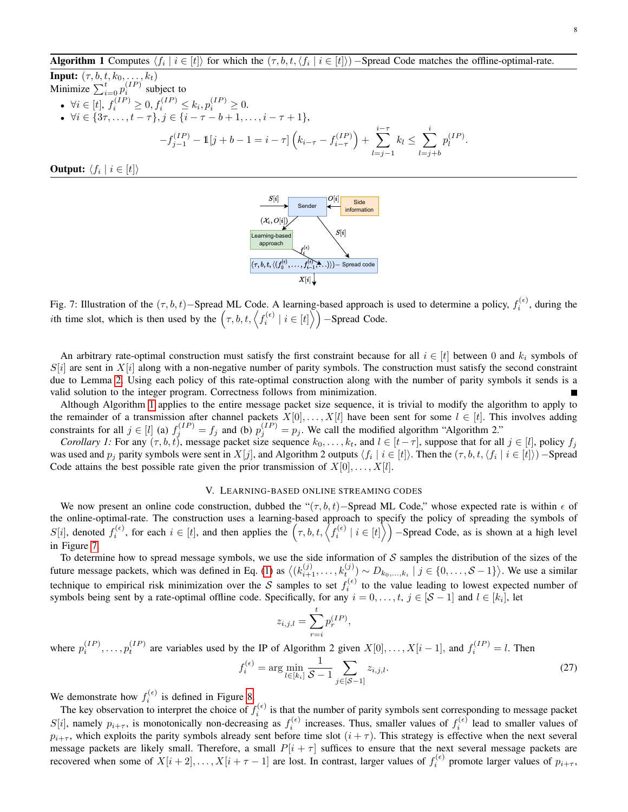# <span id="page-7-0"></span>Algorithm 1 Computes  $\langle f_i | i \in [t] \rangle$  for which the  $(\tau, b, t, \langle f_i | i \in [t] \rangle)$  – Spread Code matches the offline-optimal-rate.

**Input:** 
$$
(\tau, b, t, k_0, ..., k_t)
$$
  
\nMinimize  $\sum_{i=0}^{t} p_i^{(IP)}$  subject to  
\n•  $\forall i \in [t], f_i^{(IP)} \ge 0, f_i^{(IP)} \le k_i, p_i^{(IP)} \ge 0.$   
\n•  $\forall i \in \{3\tau, ..., t - \tau\}, j \in \{i - \tau - b + 1, ..., i - \tau + 1\},$   
\n
$$
-f_{j-1}^{(IP)} - \mathbb{1}[j + b - 1 = i - \tau] \left(k_{i-\tau} - f_{i-\tau}^{(IP)}\right) + \sum_{l=j-1}^{i-\tau} k_l \le \sum_{l=j+b}^{i} p_l^{(IP)}
$$

<span id="page-7-1"></span>**Output:**  $\langle f_i | i \in [t] \rangle$ 



Fig. 7: Illustration of the  $(\tau, b, t)$ –Spread ML Code. A learning-based approach is used to determine a policy,  $f_i^{(\epsilon)}$ , during the *i*th time slot, which is then used by the  $(\tau, b, t, \left\langle f_i^{(\epsilon)} \mid i \in [t] \right\rangle)$  -Spread Code.

An arbitrary rate-optimal construction must satisfy the first constraint because for all  $i \in [t]$  between 0 and  $k_i$  symbols of  $S[i]$  are sent in  $X[i]$  along with a non-negative number of parity symbols. The construction must satisfy the second constraint due to Lemma [2.](#page-4-1) Using each policy of this rate-optimal construction along with the number of parity symbols it sends is a valid solution to the integer program. Correctness follows from minimization.

Although Algorithm [1](#page-7-0) applies to the entire message packet size sequence, it is trivial to modify the algorithm to apply to the remainder of a transmission after channel packets  $X[0], \ldots, X[l]$  have been sent for some  $l \in [t]$ . This involves adding constraints for all  $j \in [l]$  (a)  $f_j^{(IP)} = f_j$  and (b)  $p_j^{(IP)} = p_j$ . We call the modified algorithm "Algorithm 2."

*Corollary 1:* For any  $(\tau, b, t)$ , message packet size sequence  $k_0, \ldots, k_t$ , and  $l \in [t - \tau]$ , suppose that for all  $j \in [l]$ , policy  $f_j$ was used and  $p_j$  parity symbols were sent in  $X[j]$ , and Algorithm 2 outputs  $\langle f_i \mid i \in [t] \rangle$ . Then the  $(\tau, b, t, \langle f_i \mid i \in [t] \rangle)$  –Spread Code attains the best possible rate given the prior transmission of  $X[0], \ldots, X[l]$ .

## V. LEARNING-BASED ONLINE STREAMING CODES

We now present an online code construction, dubbed the " $(\tau, b, t)$ –Spread ML Code," whose expected rate is within  $\epsilon$  of the online-optimal-rate. The construction uses a learning-based approach to specify the policy of spreading the symbols of  $S[i]$ , denoted  $f_i^{(\epsilon)}$ , for each  $i \in [t]$ , and then applies the  $(\tau, b, t, \langle f_i^{(\epsilon)} | i \in [t] \rangle)$  – Spread Code, as is shown at a high level in Figure [7.](#page-7-1)

To determine how to spread message symbols, we use the side information of  $S$  samples the distribution of the sizes of the future message packets, which was defined in Eq. [\(1\)](#page-1-1) as  $\langle (k_{i+1}^{(j)},...,k_t^{(j)}) \sim D_{k_0,...,k_i} | j \in \{0,...,S-1\} \rangle$ . We use a similar technique to empirical risk minimization over the S samples to set  $f_i^{(\epsilon)}$  to the value leading to lowest expected number of symbols being sent by a rate-optimal offline code. Specifically, for any  $i = 0, \ldots, t, j \in [S-1]$  and  $l \in [k_i]$ , let

<span id="page-7-2"></span>
$$
z_{i,j,l} = \sum_{r=i}^{t} p_r^{(IP)},
$$

where  $p_i^{(IP)}, \ldots, p_t^{(IP)}$  are variables used by the IP of Algorithm 2 given  $X[0], \ldots, X[i-1]$ , and  $f_i^{(IP)} = l$ . Then

$$
f_i^{(\epsilon)} = \arg\min_{l \in [k_i]} \frac{1}{S - 1} \sum_{j \in [S - 1]} z_{i,j,l}.
$$
 (27)

We demonstrate how  $f_i^{(\epsilon)}$  is defined in Figure [8.](#page-8-0)

The key observation to interpret the choice of  $f_i^{(\epsilon)}$  is that the number of parity symbols sent corresponding to message packet  $S[i]$ , namely  $p_{i+\tau}$ , is monotonically non-decreasing as  $f_i^{(\epsilon)}$  increases. Thus, smaller values of  $f_i^{(\epsilon)}$  lead to smaller values of  $p_{i+\tau}$ , which exploits the parity symbols already sent before time slot  $(i+\tau)$ . This strategy is effective when the next several message packets are likely small. Therefore, a small  $P[i + \tau]$  suffices to ensure that the next several message packets are recovered when some of  $X[i+2], \ldots, X[i+\tau-1]$  are lost. In contrast, larger values of  $f_i^{(\epsilon)}$  promote larger values of  $p_{i+\tau}$ ,

.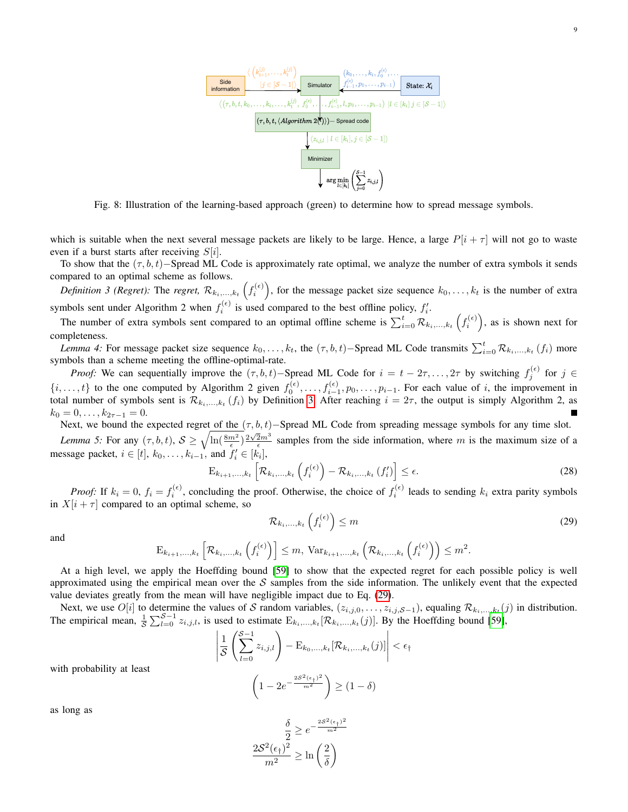

<span id="page-8-1"></span><span id="page-8-0"></span>Fig. 8: Illustration of the learning-based approach (green) to determine how to spread message symbols.

which is suitable when the next several message packets are likely to be large. Hence, a large  $P[i + \tau]$  will not go to waste even if a burst starts after receiving  $S[i]$ .

To show that the  $(\tau, b, t)$ −Spread ML Code is approximately rate optimal, we analyze the number of extra symbols it sends compared to an optimal scheme as follows.

*Definition 3 (Regret):* The *regret,*  $\mathcal{R}_{k_1,...,k_t}$   $(f_i^{(\epsilon)})$ , for the message packet size sequence  $k_0,...,k_t$  is the number of extra symbols sent under Algorithm 2 when  $f_i^{(\epsilon)}$  is used compared to the best offline policy,  $f_i'$ .

The number of extra symbols sent compared to an optimal offline scheme is  $\sum_{i=0}^{t} R_{k_i,...,k_t} (f_i^{(\epsilon)})$ , as is shown next for completeness.

*Lemma 4:* For message packet size sequence  $k_0, \ldots, k_t$ , the  $(\tau, b, t)$ –Spread ML Code transmits  $\sum_{i=0}^{t} R_{k_i, \ldots, k_t} (f_i)$  more symbols than a scheme meeting the offline-optimal-rate.

*Proof:* We can sequentially improve the  $(\tau, b, t)$ –Spread ML Code for  $i = t - 2\tau, \ldots, 2\tau$  by switching  $f_j^{(\epsilon)}$  for  $j \in$  $\{i,\ldots,t\}$  to the one computed by Algorithm 2 given  $f_0^{(\epsilon)},\ldots,f_{i-1}^{(\epsilon)},p_0,\ldots,p_{i-1}$ . For each value of i, the improvement in total number of symbols sent is  $\mathcal{R}_{k_i,...,k_t}(f_i)$  by Definition [3.](#page-8-1) After reaching  $i = 2\tau$ , the output is simply Algorithm 2, as  $k_0 = 0, \ldots, k_{2\tau-1} = 0.$ 

Next, we bound the expected regret of the  $(\tau, b, t)$ –Spread ML Code from spreading message symbols for any time slot.

*Lemma 5:* For any  $(\tau, b, t)$ ,  $S \ge \sqrt{\ln(\frac{8m^2}{\epsilon})^{\frac{2\sqrt{2}m^3}{\epsilon}}}$  samples from the side information, where m is the maximum size of a message packet,  $i \in [t]$ ,  $k_0, \ldots, k_{i-1}$ , and  $f'_i \in [k_i]$ ,

<span id="page-8-4"></span>
$$
\mathbf{E}_{k_{i+1},\ldots,k_{t}}\left[\mathcal{R}_{k_{i},\ldots,k_{t}}\left(f_{i}^{(\epsilon)}\right)-\mathcal{R}_{k_{i},\ldots,k_{t}}\left(f_{i}'\right)\right]\leq\epsilon.\tag{28}
$$

*Proof:* If  $k_i = 0$ ,  $f_i = f_i^{(\epsilon)}$ , concluding the proof. Otherwise, the choice of  $f_i^{(\epsilon)}$  leads to sending  $k_i$  extra parity symbols in  $X[i + \tau]$  compared to an optimal scheme, so

<span id="page-8-3"></span><span id="page-8-2"></span>
$$
\mathcal{R}_{k_i,\ldots,k_t}\left(f_i^{(\epsilon)}\right) \le m \tag{29}
$$

and

$$
\mathrm{E}_{k_{i+1},\ldots,k_t}\left[\mathcal{R}_{k_i,\ldots,k_t}\left(f_i^{(\epsilon)}\right)\right] \leq m, \ \mathrm{Var}_{k_{i+1},\ldots,k_t}\left(\mathcal{R}_{k_i,\ldots,k_t}\left(f_i^{(\epsilon)}\right)\right) \leq m^2.
$$

At a high level, we apply the Hoeffding bound [\[59\]](#page-12-4) to show that the expected regret for each possible policy is well approximated using the empirical mean over the  $S$  samples from the side information. The unlikely event that the expected value deviates greatly from the mean will have negligible impact due to Eq. [\(29\)](#page-8-2).

Next, we use  $O[i]$  to determine the values of S random variables,  $(z_{i,j,0},\ldots,z_{i,j,S-1})$ , equaling  $\mathcal{R}_{k_i,\ldots,k_t}(j)$  in distribution. The empirical mean,  $\frac{1}{S}\sum_{l=0}^{S-1} z_{i,j,l}$ , is used to estimate  $E_{k_i,...,k_t}[\mathcal{R}_{k_i,...,k_t}(j)]$ . By the Hoeffding bound [\[59\]](#page-12-4),

$$
\left| \frac{1}{\mathcal{S}} \left( \sum_{l=0}^{\mathcal{S}-1} z_{i,j,l} \right) - \mathbf{E}_{k_0,\ldots,k_t} [\mathcal{R}_{k_i,\ldots,k_t}(j)] \right| < \epsilon_{\dagger}
$$

with probability at least

$$
\left(1 - 2e^{-\frac{2S^2(\epsilon_+)^2}{m^2}}\right) \ge (1 - \delta)
$$

as long as

$$
\frac{\delta}{2} \ge e^{-\frac{2S^2(\epsilon_{\dagger})^2}{m^2}}
$$

$$
\frac{2S^2(\epsilon_{\dagger})^2}{m^2} \ge \ln\left(\frac{2}{\delta}\right)
$$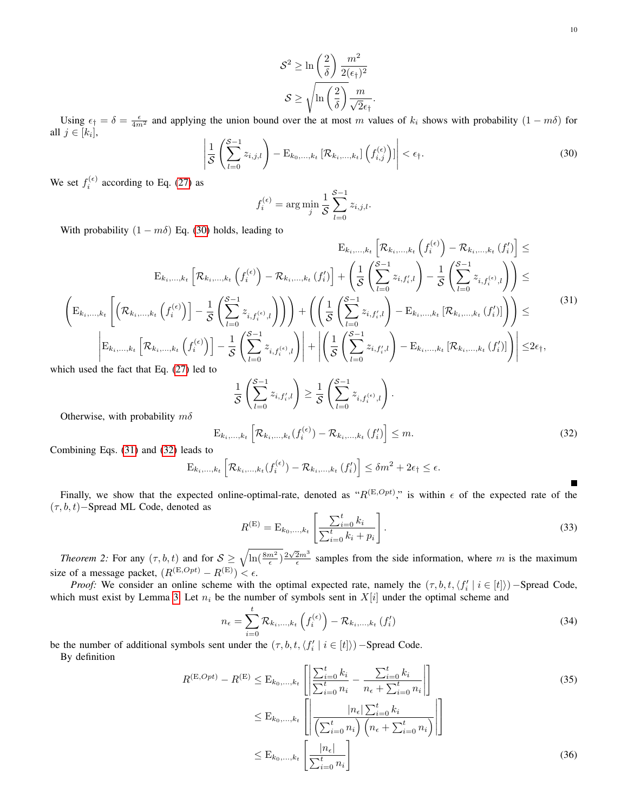$$
\mathcal{S}^2 \ge \ln\left(\frac{2}{\delta}\right) \frac{m^2}{2(\epsilon_{\dagger})^2}
$$

$$
\mathcal{S} \ge \sqrt{\ln\left(\frac{2}{\delta}\right)} \frac{m}{\sqrt{2}\epsilon_{\dagger}}.
$$

<span id="page-9-0"></span>Using  $\epsilon_1 = \delta = \frac{\epsilon}{4m^2}$  and applying the union bound over the at most m values of  $k_i$  shows with probability  $(1 - m\delta)$  for all  $j \in [k_i]$ ,

$$
\left| \frac{1}{\mathcal{S}} \left( \sum_{l=0}^{\mathcal{S}-1} z_{i,j,l} \right) - \mathbf{E}_{k_0,\ldots,k_t} \left[ \mathcal{R}_{k_i,\ldots,k_t} \right] \left( f_{i,j}^{(\epsilon)} \right) \right| < \epsilon_{\dagger}.
$$
\n
$$
(30)
$$

We set  $f_i^{(\epsilon)}$  according to Eq. [\(27\)](#page-7-2) as

<span id="page-9-1"></span>
$$
f_i^{(\epsilon)} = \arg\min_j \frac{1}{S} \sum_{l=0}^{S-1} z_{i,j,l}.
$$

With probability  $(1 - m\delta)$  Eq. [\(30\)](#page-9-0) holds, leading to

$$
E_{k_{i},...,k_{t}}\left[\mathcal{R}_{k_{i},...,k_{t}}\left(f_{i}^{(\epsilon)}\right)-\mathcal{R}_{k_{i},...,k_{t}}\left(f_{i}^{(\epsilon)}\right)-\mathcal{R}_{k_{i},...,k_{t}}\left(f_{i}^{(\epsilon)}\right)-\mathcal{R}_{k_{i},...,k_{t}}\left(f_{i}^{(\epsilon)}\right)\right]\leq
$$
\n
$$
\left(E_{k_{i},...,k_{t}}\left[\left(\mathcal{R}_{k_{i},...,k_{t}}\left(f_{i}^{(\epsilon)}\right)\right]-\frac{1}{S}\left(\sum_{l=0}^{S-1}z_{i,f_{i}^{(\epsilon)},l}\right)\right)+\left(\left(\frac{1}{S}\left(\sum_{l=0}^{S-1}z_{i,f_{i}^{(\epsilon)},l}\right)-\frac{1}{S}\left(\sum_{l=0}^{S-1}z_{i,f_{i}^{(\epsilon)},l}\right)\right)\right)\leq
$$
\n
$$
\left(E_{k_{i},...,k_{t}}\left[\left(\mathcal{R}_{k_{i},...,k_{t}}\left(f_{i}^{(\epsilon)}\right)\right]-\frac{1}{S}\left(\sum_{l=0}^{S-1}z_{i,f_{i}^{(\epsilon)},l}\right)\right)\right)+\left(\left(\frac{1}{S}\left(\sum_{l=0}^{S-1}z_{i,f_{i}^{(\epsilon)},l}\right)-E_{k_{i},...,k_{t}}\left[\mathcal{R}_{k_{i},...,k_{t}}\left(f_{i}^{(\epsilon)}\right)\right]\right)\right)\leq
$$
\n
$$
\left|E_{k_{i},...,k_{t}}\left[\mathcal{R}_{k_{i},...,k_{t}}\left(f_{i}^{(\epsilon)}\right)\right]-\frac{1}{S}\left(\sum_{l=0}^{S-1}z_{i,f_{i}^{(\epsilon)},l}\right)+\left|\left(\frac{1}{S}\left(\sum_{l=0}^{S-1}z_{i,f_{i}^{(\epsilon)},l}\right)-E_{k_{i},...,k_{t}}\left[\mathcal{R}_{k_{i},...,k_{t}}\left(f_{i}^{(\epsilon)}\right)\right]\right)\right|\leq 2\epsilon_{\dagger},
$$
\n(31)

which used the fact that Eq. [\(27\)](#page-7-2) led to

$$
\frac{1}{\mathcal{S}}\left(\sum_{l=0}^{\mathcal{S}-1} z_{i,f'_i,l}\right) \geq \frac{1}{\mathcal{S}}\left(\sum_{l=0}^{\mathcal{S}-1} z_{i,f_i^{(\epsilon)},l}\right)
$$

Otherwise, with probability  $m\delta$ 

<span id="page-9-2"></span>
$$
\mathbf{E}_{k_i,\ldots,k_t} \left[ \mathcal{R}_{k_i,\ldots,k_t} (f_i^{(\epsilon)}) - \mathcal{R}_{k_i,\ldots,k_t} (f_i') \right] \leq m. \tag{32}
$$

.

Combining Eqs. [\(31\)](#page-9-1) and [\(32\)](#page-9-2) leads to

$$
E_{k_i,\ldots,k_t}\left[\mathcal{R}_{k_i,\ldots,k_t}(f_i^{(\epsilon)})-\mathcal{R}_{k_i,\ldots,k_t}(f_i')\right] \leq \delta m^2 + 2\epsilon_{\dagger} \leq \epsilon.
$$

Finally, we show that the expected online-optimal-rate, denoted as " $R^{(E,Opt)}$ " is within  $\epsilon$  of the expected rate of the (τ, b, t)−Spread ML Code, denoted as

$$
R^{(E)} = E_{k_0, ..., k_t} \left[ \frac{\sum_{i=0}^t k_i}{\sum_{i=0}^t k_i + p_i} \right].
$$
 (33)

<span id="page-9-6"></span>*Theorem 2:* For any  $(\tau, b, t)$  and for  $S \ge \sqrt{\ln(\frac{8m^2}{\epsilon})} \frac{2\sqrt{2}m^3}{\epsilon}$  samples from the side information, where m is the maximum size of a message packet,  $(R^{(E,Opt)} - R^{(E)}) < \epsilon$ .

*Proof:* We consider an online scheme with the optimal expected rate, namely the  $(\tau, b, t, \langle f'_i | i \in [t] \rangle)$  – Spread Code, which must exist by Lemma [3.](#page-5-7) Let  $n_i$  be the number of symbols sent in  $X[i]$  under the optimal scheme and

$$
n_{\epsilon} = \sum_{i=0}^{t} \mathcal{R}_{k_{i},...,k_{t}} \left( f_{i}^{(\epsilon)} \right) - \mathcal{R}_{k_{i},...,k_{t}} \left( f_{i}' \right)
$$
\n(34)

be the number of additional symbols sent under the  $(\tau, b, t, \langle f'_i | i \in [t] \rangle)$  –Spread Code. By definition

$$
R^{(\mathrm{E},Opt)} - R^{(\mathrm{E})} \leq \mathrm{E}_{k_0, ..., k_t} \left[ \left| \frac{\sum_{i=0}^t k_i}{\sum_{i=0}^t n_i} - \frac{\sum_{i=0}^t k_i}{n_{\epsilon} + \sum_{i=0}^t n_i} \right| \right] \n\leq \mathrm{E}_{k_0, ..., k_t} \left[ \left| \frac{|n_{\epsilon}| \sum_{i=0}^t k_i}{\left(\sum_{i=0}^t n_i\right) \left(n_{\epsilon} + \sum_{i=0}^t n_i\right)} \right| \right] \n\leq \mathrm{E}_{k_0, ..., k_t} \left[ \frac{|n_{\epsilon}|}{\sum_{i=0}^t n_i} \right]
$$
\n(36)

<span id="page-9-5"></span><span id="page-9-4"></span><span id="page-9-3"></span>П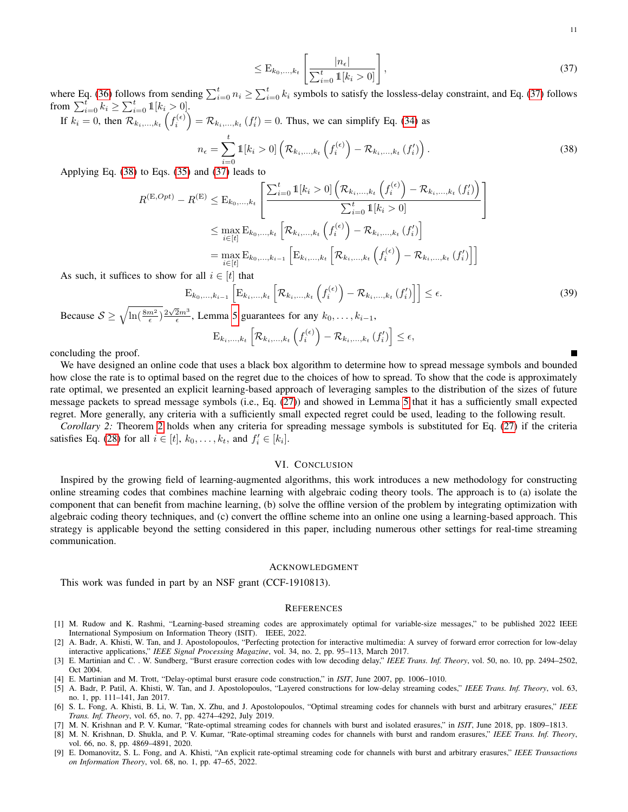<span id="page-10-6"></span><span id="page-10-5"></span>
$$
\leq \mathcal{E}_{k_0,\ldots,k_t} \left[ \frac{|n_{\epsilon}|}{\sum_{i=0}^t \mathbb{1}[k_i > 0]} \right],\tag{37}
$$

where Eq. [\(36\)](#page-9-3) follows from sending  $\sum_{i=0}^{t} n_i \ge \sum_{i=0}^{t} k_i$  symbols to satisfy the lossless-delay constraint, and Eq. [\(37\)](#page-10-5) follows from  $\sum_{i=0}^{t} k_i \geq \sum_{i=0}^{t} \mathbb{1}[k_i > 0].$ 

If  $k_i = 0$ , then  $\mathcal{R}_{k_i,...,k_t} \left( f_i^{(\epsilon)} \right) = \mathcal{R}_{k_i,...,k_t} \left( f_i' \right) = 0$ . Thus, we can simplify Eq. [\(34\)](#page-9-4) as

$$
n_{\epsilon} = \sum_{i=0}^{t} \mathbb{1}[k_i > 0] \left( \mathcal{R}_{k_i, \dots, k_t} \left( f_i^{(\epsilon)} \right) - \mathcal{R}_{k_i, \dots, k_t} \left( f_i' \right) \right).
$$
 (38)

Applying Eq. [\(38\)](#page-10-6) to Eqs. [\(35\)](#page-9-5) and [\(37\)](#page-10-5) leads to

$$
R^{(\mathrm{E},Opt)} - R^{(\mathrm{E})} \leq \mathrm{E}_{k_0, ..., k_t} \left[ \frac{\sum_{i=0}^t \mathbb{1}[k_i > 0] \left( \mathcal{R}_{k_i, ..., k_t} \left( f_i^{(\epsilon)} \right) - \mathcal{R}_{k_i, ..., k_t} \left( f_i' \right) \right)}{\sum_{i=0}^t \mathbb{1}[k_i > 0]} \right]
$$
  
\n
$$
\leq \max_{i \in [t]} \mathrm{E}_{k_0, ..., k_t} \left[ \mathcal{R}_{k_i, ..., k_t} \left( f_i^{(\epsilon)} \right) - \mathcal{R}_{k_i, ..., k_t} \left( f_i' \right) \right]
$$
  
\n
$$
= \max_{i \in [t]} \mathrm{E}_{k_0, ..., k_{i-1}} \left[ \mathrm{E}_{k_i, ..., k_t} \left[ \mathcal{R}_{k_i, ..., k_t} \left( f_i^{(\epsilon)} \right) - \mathcal{R}_{k_i, ..., k_t} \left( f_i' \right) \right] \right]
$$
  
\n*is to show for all*  $i \in [t]$  that

As such, it suffices to show for all  $i \in [t]$  that

$$
\mathbf{E}_{k_0,\ldots,k_{i-1}}\left[\mathbf{E}_{k_i,\ldots,k_t}\left[\mathcal{R}_{k_i,\ldots,k_t}\left(f_i^{(\epsilon)}\right)-\mathcal{R}_{k_i,\ldots,k_t}\left(f_i'\right)\right]\right] \leq \epsilon.
$$
\n(39)

Because  $S \ge \sqrt{\ln(\frac{8m^2}{\epsilon})} \frac{2\sqrt{2}m^3}{\epsilon}$ , Lemma [5](#page-8-3) guarantees for any  $k_0, \ldots, k_{i-1}$ ,

$$
\mathrm{E}_{k_i,\ldots,k_t}\left[\mathcal{R}_{k_i,\ldots,k_t}\left(f_i^{(\epsilon)}\right)-\mathcal{R}_{k_i,\ldots,k_t}\left(f_i'\right)\right]\leq\epsilon,
$$

concluding the proof.

We have designed an online code that uses a black box algorithm to determine how to spread message symbols and bounded how close the rate is to optimal based on the regret due to the choices of how to spread. To show that the code is approximately rate optimal, we presented an explicit learning-based approach of leveraging samples to the distribution of the sizes of future message packets to spread message symbols (i.e., Eq. [\(27\)](#page-7-2)) and showed in Lemma [5](#page-8-3) that it has a sufficiently small expected regret. More generally, any criteria with a sufficiently small expected regret could be used, leading to the following result.

*Corollary 2:* Theorem [2](#page-9-6) holds when any criteria for spreading message symbols is substituted for Eq. [\(27\)](#page-7-2) if the criteria satisfies Eq. [\(28\)](#page-8-4) for all  $i \in [t], k_0, \ldots, k_t$ , and  $f'_i \in [k_i]$ .

# VI. CONCLUSION

Inspired by the growing field of learning-augmented algorithms, this work introduces a new methodology for constructing online streaming codes that combines machine learning with algebraic coding theory tools. The approach is to (a) isolate the component that can benefit from machine learning, (b) solve the offline version of the problem by integrating optimization with algebraic coding theory techniques, and (c) convert the offline scheme into an online one using a learning-based approach. This strategy is applicable beyond the setting considered in this paper, including numerous other settings for real-time streaming communication.

## ACKNOWLEDGMENT

This work was funded in part by an NSF grant (CCF-1910813).

### **REFERENCES**

- <span id="page-10-3"></span>[1] M. Rudow and K. Rashmi, "Learning-based streaming codes are approximately optimal for variable-size messages," to be published 2022 IEEE International Symposium on Information Theory (ISIT). IEEE, 2022.
- <span id="page-10-0"></span>[2] A. Badr, A. Khisti, W. Tan, and J. Apostolopoulos, "Perfecting protection for interactive multimedia: A survey of forward error correction for low-delay interactive applications," *IEEE Signal Processing Magazine*, vol. 34, no. 2, pp. 95–113, March 2017.
- <span id="page-10-1"></span>[3] E. Martinian and C. . W. Sundberg, "Burst erasure correction codes with low decoding delay," *IEEE Trans. Inf. Theory*, vol. 50, no. 10, pp. 2494–2502, Oct 2004.
- <span id="page-10-2"></span>[4] E. Martinian and M. Trott, "Delay-optimal burst erasure code construction," in *ISIT*, June 2007, pp. 1006–1010.
- <span id="page-10-4"></span>[5] A. Badr, P. Patil, A. Khisti, W. Tan, and J. Apostolopoulos, "Layered constructions for low-delay streaming codes," *IEEE Trans. Inf. Theory*, vol. 63, no. 1, pp. 111–141, Jan 2017.
- [6] S. L. Fong, A. Khisti, B. Li, W. Tan, X. Zhu, and J. Apostolopoulos, "Optimal streaming codes for channels with burst and arbitrary erasures," *IEEE Trans. Inf. Theory*, vol. 65, no. 7, pp. 4274–4292, July 2019.
- [7] M. N. Krishnan and P. V. Kumar, "Rate-optimal streaming codes for channels with burst and isolated erasures," in *ISIT*, June 2018, pp. 1809–1813.
- [8] M. N. Krishnan, D. Shukla, and P. V. Kumar, "Rate-optimal streaming codes for channels with burst and random erasures," *IEEE Trans. Inf. Theory*, vol. 66, no. 8, pp. 4869–4891, 2020.
- [9] E. Domanovitz, S. L. Fong, and A. Khisti, "An explicit rate-optimal streaming code for channels with burst and arbitrary erasures," *IEEE Transactions on Information Theory*, vol. 68, no. 1, pp. 47–65, 2022.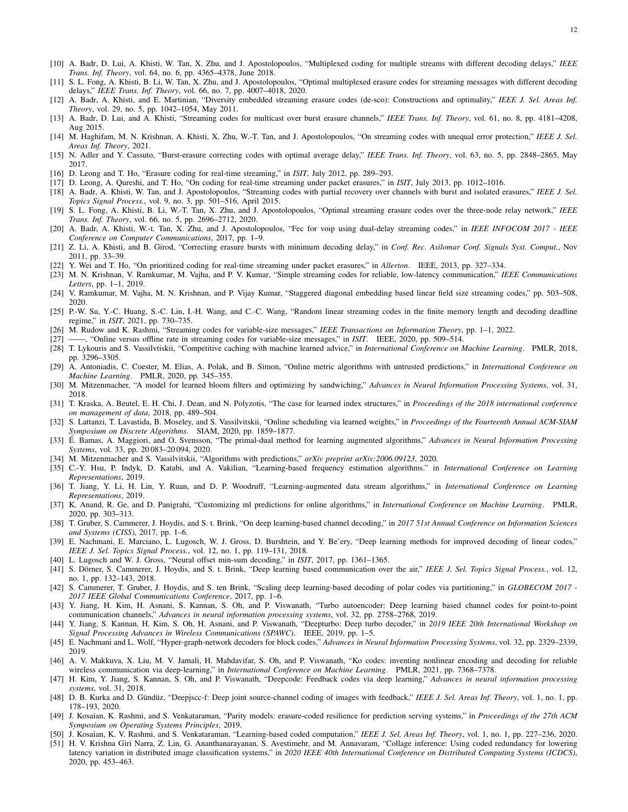- [10] A. Badr, D. Lui, A. Khisti, W. Tan, X. Zhu, and J. Apostolopoulos, "Multiplexed coding for multiple streams with different decoding delays," *IEEE Trans. Inf. Theory*, vol. 64, no. 6, pp. 4365–4378, June 2018.
- [11] S. L. Fong, A. Khisti, B. Li, W. Tan, X. Zhu, and J. Apostolopoulos, "Optimal multiplexed erasure codes for streaming messages with different decoding delays," *IEEE Trans. Inf. Theory*, vol. 66, no. 7, pp. 4007–4018, 2020.
- [12] A. Badr, A. Khisti, and E. Martinian, "Diversity embedded streaming erasure codes (de-sco): Constructions and optimality," *IEEE J. Sel. Areas Inf. Theory*, vol. 29, no. 5, pp. 1042–1054, May 2011.
- [13] A. Badr, D. Lui, and A. Khisti, "Streaming codes for multicast over burst erasure channels," *IEEE Trans. Inf. Theory*, vol. 61, no. 8, pp. 4181–4208, Aug 2015.
- [14] M. Haghifam, M. N. Krishnan, A. Khisti, X. Zhu, W.-T. Tan, and J. Apostolopoulos, "On streaming codes with unequal error protection," *IEEE J. Sel. Areas Inf. Theory*, 2021.
- [15] N. Adler and Y. Cassuto, "Burst-erasure correcting codes with optimal average delay," *IEEE Trans. Inf. Theory*, vol. 63, no. 5, pp. 2848–2865, May 2017.
- [16] D. Leong and T. Ho, "Erasure coding for real-time streaming," in *ISIT*, July 2012, pp. 289–293.
- [17] D. Leong, A. Qureshi, and T. Ho, "On coding for real-time streaming under packet erasures," in *ISIT*, July 2013, pp. 1012–1016.
- [18] A. Badr, A. Khisti, W. Tan, and J. Apostolopoulos, "Streaming codes with partial recovery over channels with burst and isolated erasures," *IEEE J. Sel. Topics Signal Process.*, vol. 9, no. 3, pp. 501–516, April 2015.
- [19] S. L. Fong, A. Khisti, B. Li, W.-T. Tan, X. Zhu, and J. Apostolopoulos, "Optimal streaming erasure codes over the three-node relay network," *IEEE Trans. Inf. Theory*, vol. 66, no. 5, pp. 2696–2712, 2020.
- [20] A. Badr, A. Khisti, W.-t. Tan, X. Zhu, and J. Apostolopoulos, "Fec for voip using dual-delay streaming codes," in *IEEE INFOCOM 2017 IEEE Conference on Computer Communications*, 2017, pp. 1–9.
- [21] Z. Li, A. Khisti, and B. Girod, "Correcting erasure bursts with minimum decoding delay," in *Conf. Rec. Asilomar Conf. Signals Syst. Comput.*, Nov 2011, pp. 33–39.
- [22] Y. Wei and T. Ho, "On prioritized coding for real-time streaming under packet erasures," in *Allerton*. IEEE, 2013, pp. 327–334.
- [23] M. N. Krishnan, V. Ramkumar, M. Vajha, and P. V. Kumar, "Simple streaming codes for reliable, low-latency communication," *IEEE Communications Letters*, pp. 1–1, 2019.
- [24] V. Ramkumar, M. Vajha, M. N. Krishnan, and P. Vijay Kumar, "Staggered diagonal embedding based linear field size streaming codes," pp. 503–508, 2020.
- <span id="page-11-0"></span>[25] P.-W. Su, Y.-C. Huang, S.-C. Lin, I.-H. Wang, and C.-C. Wang, "Random linear streaming codes in the finite memory length and decoding deadline regime," in *ISIT*, 2021, pp. 730–735.
- <span id="page-11-1"></span>[26] M. Rudow and K. Rashmi, "Streaming codes for variable-size messages," *IEEE Transactions on Information Theory*, pp. 1–1, 2022.
- <span id="page-11-2"></span>[27] ——, "Online versus offline rate in streaming codes for variable-size messages," in *ISIT*. IEEE, 2020, pp. 509–514.
- <span id="page-11-3"></span>[28] T. Lykouris and S. Vassilvtiskii, "Competitive caching with machine learned advice," in *International Conference on Machine Learning*. PMLR, 2018, pp. 3296–3305.
- <span id="page-11-4"></span>[29] A. Antoniadis, C. Coester, M. Elias, A. Polak, and B. Simon, "Online metric algorithms with untrusted predictions," in *International Conference on Machine Learning*. PMLR, 2020, pp. 345–355.
- <span id="page-11-5"></span>[30] M. Mitzenmacher, "A model for learned bloom filters and optimizing by sandwiching," *Advances in Neural Information Processing Systems*, vol. 31, 2018.
- <span id="page-11-6"></span>[31] T. Kraska, A. Beutel, E. H. Chi, J. Dean, and N. Polyzotis, "The case for learned index structures," in *Proceedings of the 2018 international conference on management of data*, 2018, pp. 489–504.
- <span id="page-11-7"></span>[32] S. Lattanzi, T. Lavastida, B. Moseley, and S. Vassilvitskii, "Online scheduling via learned weights," in *Proceedings of the Fourteenth Annual ACM-SIAM Symposium on Discrete Algorithms*. SIAM, 2020, pp. 1859–1877.
- <span id="page-11-8"></span>[33] É. Bamas, A. Maggiori, and O. Svensson, "The primal-dual method for learning augmented algorithms," *Advances in Neural Information Processing Systems*, vol. 33, pp. 20 083–20 094, 2020.
- [34] M. Mitzenmacher and S. Vassilvitskii, "Algorithms with predictions," *arXiv preprint arXiv:2006.09123*, 2020.
- [35] C.-Y. Hsu, P. Indyk, D. Katabi, and A. Vakilian, "Learning-based frequency estimation algorithms." in *International Conference on Learning Representations*, 2019.
- [36] T. Jiang, Y. Li, H. Lin, Y. Ruan, and D. P. Woodruff, "Learning-augmented data stream algorithms," in *International Conference on Learning Representations*, 2019.
- <span id="page-11-9"></span>[37] K. Anand, R. Ge, and D. Panigrahi, "Customizing ml predictions for online algorithms," in *International Conference on Machine Learning*. PMLR, 2020, pp. 303–313.
- <span id="page-11-10"></span>[38] T. Gruber, S. Cammerer, J. Hoydis, and S. t. Brink, "On deep learning-based channel decoding," in *2017 51st Annual Conference on Information Sciences and Systems (CISS)*, 2017, pp. 1–6.
- [39] E. Nachmani, E. Marciano, L. Lugosch, W. J. Gross, D. Burshtein, and Y. Be'ery, "Deep learning methods for improved decoding of linear codes," *IEEE J. Sel. Topics Signal Process.*, vol. 12, no. 1, pp. 119–131, 2018.
- [40] L. Lugosch and W. J. Gross, "Neural offset min-sum decoding," in *ISIT*, 2017, pp. 1361–1365.
- [41] S. Dörner, S. Cammerer, J. Hoydis, and S. t. Brink, "Deep learning based communication over the air," *IEEE J. Sel. Topics Signal Process.*, vol. 12, no. 1, pp. 132–143, 2018.
- [42] S. Cammerer, T. Gruber, J. Hoydis, and S. ten Brink, "Scaling deep learning-based decoding of polar codes via partitioning," in *GLOBECOM 2017 - 2017 IEEE Global Communications Conference*, 2017, pp. 1–6.
- [43] Y. Jiang, H. Kim, H. Asnani, S. Kannan, S. Oh, and P. Viswanath, "Turbo autoencoder: Deep learning based channel codes for point-to-point communication channels," *Advances in neural information processing systems*, vol. 32, pp. 2758–2768, 2019.
- [44] Y. Jiang, S. Kannan, H. Kim, S. Oh, H. Asnani, and P. Viswanath, "Deepturbo: Deep turbo decoder," in *2019 IEEE 20th International Workshop on Signal Processing Advances in Wireless Communications (SPAWC)*. IEEE, 2019, pp. 1–5.
- [45] E. Nachmani and L. Wolf, "Hyper-graph-network decoders for block codes," *Advances in Neural Information Processing Systems*, vol. 32, pp. 2329–2339, 2019.
- <span id="page-11-11"></span>[46] A. V. Makkuva, X. Liu, M. V. Jamali, H. Mahdavifar, S. Oh, and P. Viswanath, "Ko codes: inventing nonlinear encoding and decoding for reliable wireless communication via deep-learning," in *International Conference on Machine Learning*. PMLR, 2021, pp. 7368–7378.
- <span id="page-11-12"></span>[47] H. Kim, Y. Jiang, S. Kannan, S. Oh, and P. Viswanath, "Deepcode: Feedback codes via deep learning," *Advances in neural information processing systems*, vol. 31, 2018.
- <span id="page-11-13"></span>[48] D. B. Kurka and D. Gündüz, "Deepjscc-f: Deep joint source-channel coding of images with feedback," *IEEE J. Sel. Areas Inf. Theory*, vol. 1, no. 1, pp. 178–193, 2020.
- <span id="page-11-14"></span>[49] J. Kosaian, K. Rashmi, and S. Venkataraman, "Parity models: erasure-coded resilience for prediction serving systems," in *Proceedings of the 27th ACM Symposium on Operating Systems Principles*, 2019.
- <span id="page-11-15"></span>[50] J. Kosaian, K. V. Rashmi, and S. Venkataraman, "Learning-based coded computation," *IEEE J. Sel. Areas Inf. Theory*, vol. 1, no. 1, pp. 227–236, 2020. [51] H. V. Krishna Giri Narra, Z. Lin, G. Ananthanarayanan, S. Avestimehr, and M. Annavaram, "Collage inference: Using coded redundancy for lowering latency variation in distributed image classification systems," in *2020 IEEE 40th International Conference on Distributed Computing Systems (ICDCS)*, 2020, pp. 453–463.